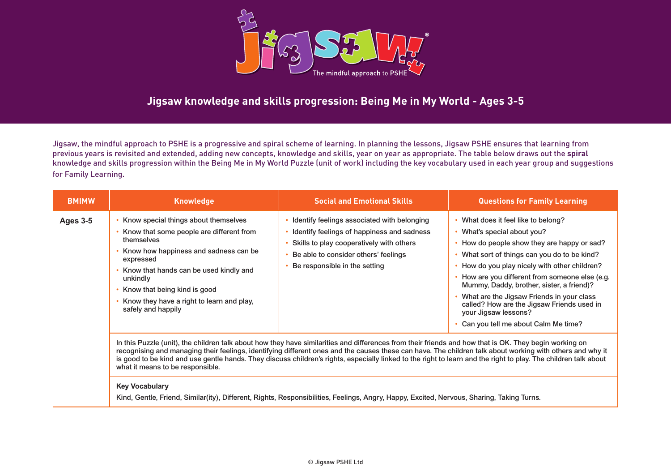

# **Jigsaw knowledge and skills progression: Being Me in My World - Ages 3-5**

Jigsaw, the mindful approach to PSHE is a progressive and spiral scheme of learning. In planning the lessons, Jigsaw PSHE ensures that learning from previous years is revisited and extended, adding new concepts, knowledge and skills, year on year as appropriate. The table below draws out the **spiral** knowledge and skills progression within the Being Me in My World Puzzle (unit of work) including the key vocabulary used in each year group and suggestions for Family Learning.

| <b>BMIMW</b>    | <b>Knowledge</b>                                                                                                                                                                                                                                                                                              | <b>Social and Emotional Skills</b>                                                                                                                                                                             | <b>Questions for Family Learning</b>                                                                                                                                                                                                                                                                                                                                                                                                                             |
|-----------------|---------------------------------------------------------------------------------------------------------------------------------------------------------------------------------------------------------------------------------------------------------------------------------------------------------------|----------------------------------------------------------------------------------------------------------------------------------------------------------------------------------------------------------------|------------------------------------------------------------------------------------------------------------------------------------------------------------------------------------------------------------------------------------------------------------------------------------------------------------------------------------------------------------------------------------------------------------------------------------------------------------------|
| <b>Ages 3-5</b> | Know special things about themselves<br>Know that some people are different from<br>themselves<br>Know how happiness and sadness can be<br>expressed<br>Know that hands can be used kindly and<br>unkindly<br>Know that being kind is good<br>Know they have a right to learn and play,<br>safely and happily | Identify feelings associated with belonging<br>Identify feelings of happiness and sadness<br>Skills to play cooperatively with others<br>Be able to consider others' feelings<br>Be responsible in the setting | What does it feel like to belong?<br>What's special about you?<br>How do people show they are happy or sad?<br>What sort of things can you do to be kind?<br>How do you play nicely with other children?<br>How are you different from someone else (e.g.<br>Mummy, Daddy, brother, sister, a friend)?<br>What are the Jigsaw Friends in your class<br>called? How are the Jigsaw Friends used in<br>your Jigsaw lessons?<br>Can you tell me about Calm Me time? |

In this Puzzle (unit), the children talk about how they have similarities and differences from their friends and how that is OK. They begin working on recognising and managing their feelings, identifying different ones and the causes these can have. The children talk about working with others and why it is good to be kind and use gentle hands. They discuss children's rights, especially linked to the right to learn and the right to play. The children talk about what it means to be responsible.

#### **Key Vocabulary**

Kind, Gentle, Friend, Similar(ity), Different, Rights, Responsibilities, Feelings, Angry, Happy, Excited, Nervous, Sharing, Taking Turns.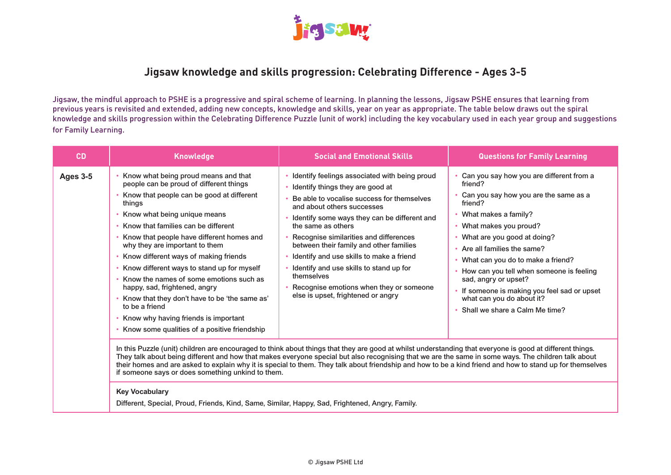

### **Jigsaw knowledge and skills progression: Celebrating Difference - Ages 3-5**

Jigsaw, the mindful approach to PSHE is a progressive and spiral scheme of learning. In planning the lessons, Jigsaw PSHE ensures that learning from previous years is revisited and extended, adding new concepts, knowledge and skills, year on year as appropriate. The table below draws out the spiral knowledge and skills progression within the Celebrating Difference Puzzle (unit of work) including the key vocabulary used in each year group and suggestions for Family Learning.

| <b>CD</b>       | <b>Knowledge</b>                                                                                                                                                                                                                                                                                                                                                                                                                                                                                                                                                                                                                                                                | <b>Social and Emotional Skills</b>                                                                                                                                                                                                                                                                                                                                                                                                                                                                                                                                                                                                                                                                                                                                                                                                                                                                                                                                                              | <b>Questions for Family Learning</b>                                                                                                                                                                                                                                                                                                                                                                                                              |
|-----------------|---------------------------------------------------------------------------------------------------------------------------------------------------------------------------------------------------------------------------------------------------------------------------------------------------------------------------------------------------------------------------------------------------------------------------------------------------------------------------------------------------------------------------------------------------------------------------------------------------------------------------------------------------------------------------------|-------------------------------------------------------------------------------------------------------------------------------------------------------------------------------------------------------------------------------------------------------------------------------------------------------------------------------------------------------------------------------------------------------------------------------------------------------------------------------------------------------------------------------------------------------------------------------------------------------------------------------------------------------------------------------------------------------------------------------------------------------------------------------------------------------------------------------------------------------------------------------------------------------------------------------------------------------------------------------------------------|---------------------------------------------------------------------------------------------------------------------------------------------------------------------------------------------------------------------------------------------------------------------------------------------------------------------------------------------------------------------------------------------------------------------------------------------------|
| <b>Ages 3-5</b> | Know what being proud means and that<br>people can be proud of different things<br>Know that people can be good at different<br>things<br>Know what being unique means<br>Know that families can be different<br>Know that people have different homes and<br>why they are important to them<br>Know different ways of making friends<br>Know different ways to stand up for myself<br>Know the names of some emotions such as<br>happy, sad, frightened, angry<br>Know that they don't have to be 'the same as'<br>to be a friend<br>Know why having friends is important<br>Know some qualities of a positive friendship<br>if someone says or does something unkind to them. | Identify feelings associated with being proud<br>Identify things they are good at<br>Be able to vocalise success for themselves<br>and about others successes<br>Identify some ways they can be different and<br>the same as others<br>Recognise similarities and differences<br>between their family and other families<br>Identify and use skills to make a friend<br>Identify and use skills to stand up for<br>themselves<br>Recognise emotions when they or someone<br>else is upset, frightened or angry<br>In this Puzzle (unit) children are encouraged to think about things that they are good at whilst understanding that everyone is good at different things.<br>They talk about being different and how that makes everyone special but also recognising that we are the same in some ways. The children talk about<br>their homes and are asked to explain why it is special to them. They talk about friendship and how to be a kind friend and how to stand up for themselves | Can you say how you are different from a<br>friend?<br>Can you say how you are the same as a<br>friend?<br>• What makes a family?<br>• What makes you proud?<br>What are you good at doing?<br>Are all families the same?<br>What can you do to make a friend?<br>How can you tell when someone is feeling<br>sad, angry or upset?<br>• If someone is making you feel sad or upset<br>what can you do about it?<br>Shall we share a Calm Me time? |
|                 | <b>Key Vocabulary</b>                                                                                                                                                                                                                                                                                                                                                                                                                                                                                                                                                                                                                                                           |                                                                                                                                                                                                                                                                                                                                                                                                                                                                                                                                                                                                                                                                                                                                                                                                                                                                                                                                                                                                 |                                                                                                                                                                                                                                                                                                                                                                                                                                                   |

Different, Special, Proud, Friends, Kind, Same, Similar, Happy, Sad, Frightened, Angry, Family.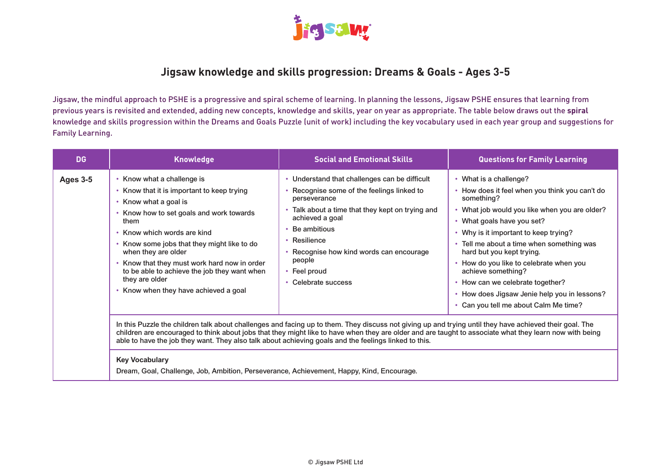

# **Jigsaw knowledge and skills progression: Dreams & Goals - Ages 3-5**

Jigsaw, the mindful approach to PSHE is a progressive and spiral scheme of learning. In planning the lessons, Jigsaw PSHE ensures that learning from previous years is revisited and extended, adding new concepts, knowledge and skills, year on year as appropriate. The table below draws out the **spiral** knowledge and skills progression within the Dreams and Goals Puzzle (unit of work) including the key vocabulary used in each year group and suggestions for Family Learning.

| <b>DG</b>       | <b>Knowledge</b>                                                                                                                                                                                                                                                                                                                                                                                                                                                                                                                          | <b>Social and Emotional Skills</b>                                                                                                                                                                                                                                                                                                                                                                                                                                                                                                                                                                                                  | <b>Questions for Family Learning</b>                                                                                                                                                                                                                                                                                                                                                                                                                                                      |
|-----------------|-------------------------------------------------------------------------------------------------------------------------------------------------------------------------------------------------------------------------------------------------------------------------------------------------------------------------------------------------------------------------------------------------------------------------------------------------------------------------------------------------------------------------------------------|-------------------------------------------------------------------------------------------------------------------------------------------------------------------------------------------------------------------------------------------------------------------------------------------------------------------------------------------------------------------------------------------------------------------------------------------------------------------------------------------------------------------------------------------------------------------------------------------------------------------------------------|-------------------------------------------------------------------------------------------------------------------------------------------------------------------------------------------------------------------------------------------------------------------------------------------------------------------------------------------------------------------------------------------------------------------------------------------------------------------------------------------|
| <b>Ages 3-5</b> | Know what a challenge is<br>Know that it is important to keep trying<br>Know what a goal is<br>Know how to set goals and work towards<br>them<br>• Know which words are kind<br>Know some jobs that they might like to do<br>when they are older<br>Know that they must work hard now in order<br>to be able to achieve the job they want when<br>they are older<br>Know when they have achieved a goal<br>able to have the job they want. They also talk about achieving goals and the feelings linked to this.<br><b>Key Vocabulary</b> | • Understand that challenges can be difficult<br>Recognise some of the feelings linked to<br>perseverance<br>• Talk about a time that they kept on trying and<br>achieved a goal<br>Be ambitious<br>• Resilience<br>• Recognise how kind words can encourage<br>people<br>• Feel proud<br>• Celebrate success<br>In this Puzzle the children talk about challenges and facing up to them. They discuss not giving up and trying until they have achieved their goal. The<br>children are encouraged to think about jobs that they might like to have when they are older and are taught to associate what they learn now with being | • What is a challenge?<br>How does it feel when you think you can't do<br>something?<br>What job would you like when you are older?<br>• What goals have you set?<br>Why is it important to keep trying?<br>Tell me about a time when something was<br>$\bullet$<br>hard but you kept trying.<br>How do you like to celebrate when you<br>achieve something?<br>• How can we celebrate together?<br>• How does Jigsaw Jenie help you in lessons?<br>• Can you tell me about Calm Me time? |
|                 | Dream, Goal, Challenge, Job, Ambition, Perseverance, Achievement, Happy, Kind, Encourage.                                                                                                                                                                                                                                                                                                                                                                                                                                                 |                                                                                                                                                                                                                                                                                                                                                                                                                                                                                                                                                                                                                                     |                                                                                                                                                                                                                                                                                                                                                                                                                                                                                           |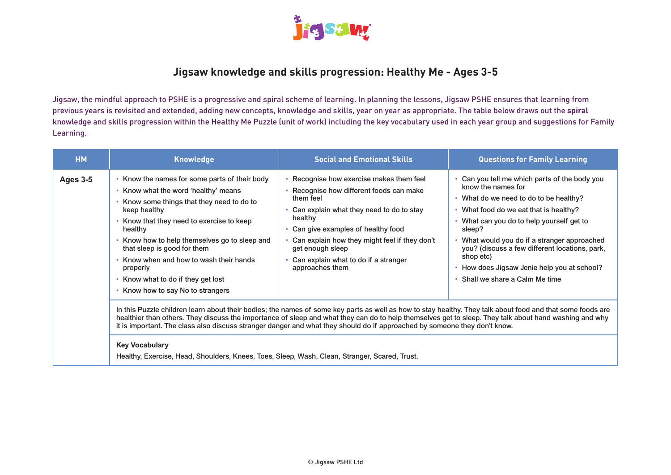

# **Jigsaw knowledge and skills progression: Healthy Me - Ages 3-5**

Jigsaw, the mindful approach to PSHE is a progressive and spiral scheme of learning. In planning the lessons, Jigsaw PSHE ensures that learning from previous years is revisited and extended, adding new concepts, knowledge and skills, year on year as appropriate. The table below draws out the **spiral** knowledge and skills progression within the Healthy Me Puzzle (unit of work) including the key vocabulary used in each year group and suggestions for Family Learning.

| <b>HM</b>       | <b>Knowledge</b>                                                                                                                                                                                                                                                                                                                                                                                                                                                                                                                                                            | <b>Social and Emotional Skills</b>                                                                                                                                                                                                                                                                                              | <b>Questions for Family Learning</b>                                                                                                                                                                                                                                                                                                                                                                |  |
|-----------------|-----------------------------------------------------------------------------------------------------------------------------------------------------------------------------------------------------------------------------------------------------------------------------------------------------------------------------------------------------------------------------------------------------------------------------------------------------------------------------------------------------------------------------------------------------------------------------|---------------------------------------------------------------------------------------------------------------------------------------------------------------------------------------------------------------------------------------------------------------------------------------------------------------------------------|-----------------------------------------------------------------------------------------------------------------------------------------------------------------------------------------------------------------------------------------------------------------------------------------------------------------------------------------------------------------------------------------------------|--|
| <b>Ages 3-5</b> | • Know the names for some parts of their body<br>• Know what the word 'healthy' means<br>Know some things that they need to do to<br>keep healthy<br>Know that they need to exercise to keep<br>healthy<br>Know how to help themselves go to sleep and<br>that sleep is good for them<br>• Know when and how to wash their hands<br>properly<br>• Know what to do if they get lost<br>Know how to say No to strangers                                                                                                                                                       | • Recognise how exercise makes them feel<br>• Recognise how different foods can make<br>them feel<br>Can explain what they need to do to stay<br>healthy<br>• Can give examples of healthy food<br>Can explain how they might feel if they don't<br>get enough sleep<br>Can explain what to do if a stranger<br>approaches them | Can you tell me which parts of the body you<br>know the names for<br>• What do we need to do to be healthy?<br>What food do we eat that is healthy?<br>What can you do to help yourself get to<br>sleep?<br>What would you do if a stranger approached<br>you? (discuss a few different locations, park,<br>shop etc)<br>How does Jigsaw Jenie help you at school?<br>Shall we share a Calm Me time |  |
|                 | In this Puzzle children learn about their bodies; the names of some key parts as well as how to stay healthy. They talk about food and that some foods are<br>healthier than others. They discuss the importance of sleep and what they can do to help themselves get to sleep. They talk about hand washing and why<br>it is important. The class also discuss stranger danger and what they should do if approached by someone they don't know.<br><b>Key Vocabulary</b><br>Healthy, Exercise, Head, Shoulders, Knees, Toes, Sleep, Wash, Clean, Stranger, Scared, Trust. |                                                                                                                                                                                                                                                                                                                                 |                                                                                                                                                                                                                                                                                                                                                                                                     |  |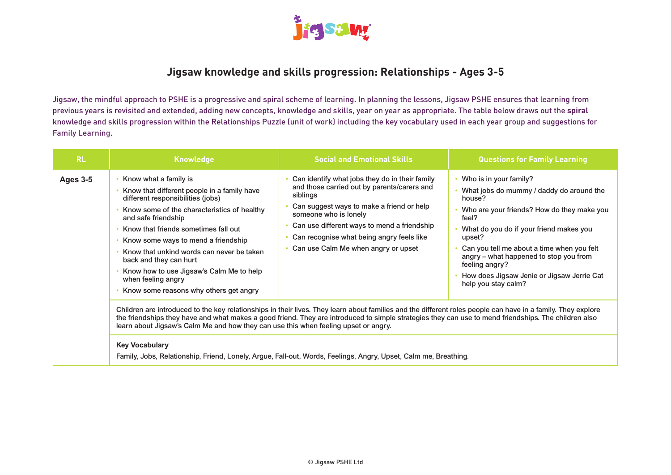

# **Jigsaw knowledge and skills progression: Relationships - Ages 3-5**

Jigsaw, the mindful approach to PSHE is a progressive and spiral scheme of learning. In planning the lessons, Jigsaw PSHE ensures that learning from previous years is revisited and extended, adding new concepts, knowledge and skills, year on year as appropriate. The table below draws out the **spiral** knowledge and skills progression within the Relationships Puzzle (unit of work) including the key vocabulary used in each year group and suggestions for Family Learning.

| <b>RL</b>       | <b>Knowledge</b>                                                                                                                                                                                                                                                                                                                                                                                                                                                                                                                                        | <b>Social and Emotional Skills</b>                                                                                                                                                                                                                                                                                 | <b>Questions for Family Learning</b>                                                                                                                                                                                                                                                                                                                                    |
|-----------------|---------------------------------------------------------------------------------------------------------------------------------------------------------------------------------------------------------------------------------------------------------------------------------------------------------------------------------------------------------------------------------------------------------------------------------------------------------------------------------------------------------------------------------------------------------|--------------------------------------------------------------------------------------------------------------------------------------------------------------------------------------------------------------------------------------------------------------------------------------------------------------------|-------------------------------------------------------------------------------------------------------------------------------------------------------------------------------------------------------------------------------------------------------------------------------------------------------------------------------------------------------------------------|
| <b>Ages 3-5</b> | Know what a family is<br>Know that different people in a family have<br>different responsibilities (jobs)<br>Know some of the characteristics of healthy<br>and safe friendship<br>Know that friends sometimes fall out<br>Know some ways to mend a friendship<br>Know that unkind words can never be taken<br>back and they can hurt<br>Know how to use Jigsaw's Calm Me to help<br>when feeling angry<br>Know some reasons why others get angry                                                                                                       | Can identify what jobs they do in their family<br>and those carried out by parents/carers and<br>siblings<br>Can suggest ways to make a friend or help<br>someone who is lonely<br>Can use different ways to mend a friendship<br>Can recognise what being angry feels like<br>Can use Calm Me when angry or upset | Who is in your family?<br>What jobs do mummy / daddy do around the<br>house?<br>Who are your friends? How do they make you<br>feel?<br>What do you do if your friend makes you<br>upset?<br>Can you tell me about a time when you felt<br>angry – what happened to stop you from<br>feeling angry?<br>How does Jigsaw Jenie or Jigsaw Jerrie Cat<br>help you stay calm? |
|                 | Children are introduced to the key relationships in their lives. They learn about families and the different roles people can have in a family. They explore<br>the friendships they have and what makes a good friend. They are introduced to simple strategies they can use to mend friendships. The children also<br>learn about Jigsaw's Calm Me and how they can use this when feeling upset or angry.<br><b>Key Vocabulary</b><br>Family, Jobs, Relationship, Friend, Lonely, Argue, Fall-out, Words, Feelings, Angry, Upset, Calm me, Breathing. |                                                                                                                                                                                                                                                                                                                    |                                                                                                                                                                                                                                                                                                                                                                         |